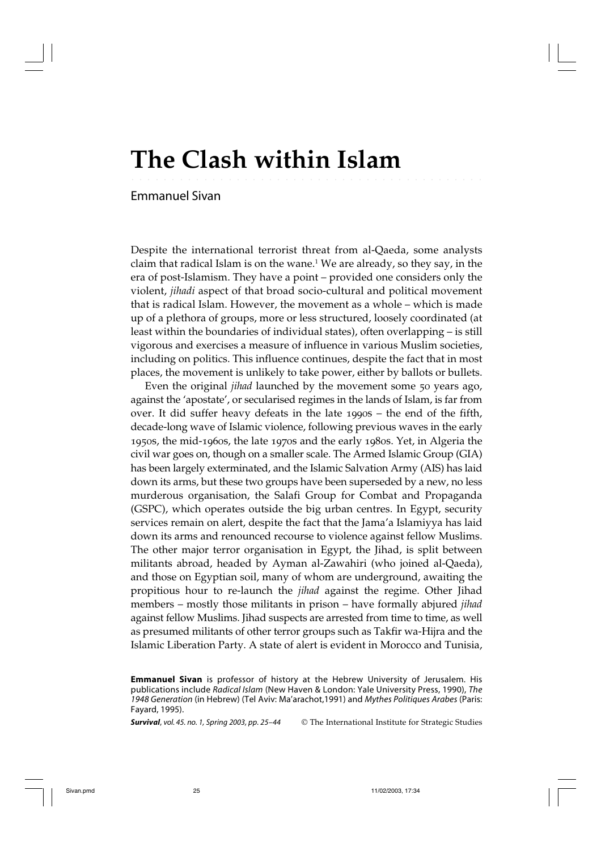# **The Clash within Islam**

# Emmanuel Sivan

Despite the international terrorist threat from al-Qaeda, some analysts claim that radical Islam is on the wane.1 We are already, so they say, in the era of post-Islamism. They have a point – provided one considers only the violent, *jihadi* aspect of that broad socio-cultural and political movement that is radical Islam. However, the movement as a whole – which is made up of a plethora of groups, more or less structured, loosely coordinated (at least within the boundaries of individual states), often overlapping – is still vigorous and exercises a measure of influence in various Muslim societies, including on politics. This influence continues, despite the fact that in most places, the movement is unlikely to take power, either by ballots or bullets.

Even the original *jihad* launched by the movement some 50 years ago, against the 'apostate', or secularised regimes in the lands of Islam, is far from over. It did suffer heavy defeats in the late 1990s – the end of the fifth, decade-long wave of Islamic violence, following previous waves in the early 1950s, the mid-1960s, the late 1970s and the early 1980s. Yet, in Algeria the civil war goes on, though on a smaller scale. The Armed Islamic Group (GIA) has been largely exterminated, and the Islamic Salvation Army (AIS) has laid down its arms, but these two groups have been superseded by a new, no less murderous organisation, the Salafi Group for Combat and Propaganda (GSPC), which operates outside the big urban centres. In Egypt, security services remain on alert, despite the fact that the Jama'a Islamiyya has laid down its arms and renounced recourse to violence against fellow Muslims. The other major terror organisation in Egypt, the Jihad, is split between militants abroad, headed by Ayman al-Zawahiri (who joined al-Qaeda), and those on Egyptian soil, many of whom are underground, awaiting the propitious hour to re-launch the *jihad* against the regime. Other Jihad members – mostly those militants in prison – have formally abjured *jihad* against fellow Muslims. Jihad suspects are arrested from time to time, as well as presumed militants of other terror groups such as Takfir wa-Hijra and the Islamic Liberation Party. A state of alert is evident in Morocco and Tunisia,

**Emmanuel Sivan** is professor of history at the Hebrew University of Jerusalem. His publications include *Radical Islam* (New Haven & London: Yale University Press, 1990), *The 1948 Generation* (in Hebrew) (Tel Aviv: Ma'arachot,1991) and *Mythes Politiques Arabes* (Paris: Fayard, 1995).

*Survival*, *vol. 45. no. 1, Spring 2003, pp. 25–44* © The International Institute for Strategic Studies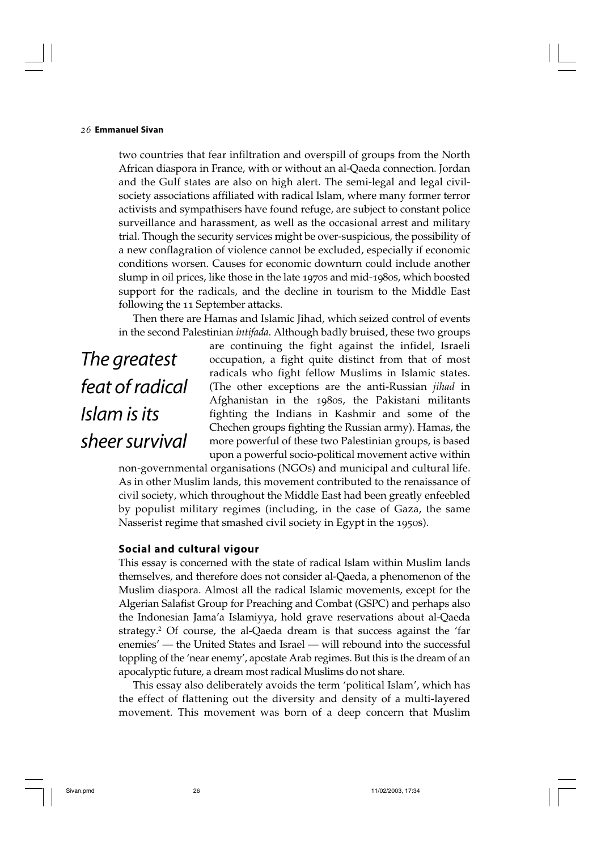two countries that fear infiltration and overspill of groups from the North African diaspora in France, with or without an al-Qaeda connection. Jordan and the Gulf states are also on high alert. The semi-legal and legal civilsociety associations affiliated with radical Islam, where many former terror activists and sympathisers have found refuge, are subject to constant police surveillance and harassment, as well as the occasional arrest and military trial. Though the security services might be over-suspicious, the possibility of a new conflagration of violence cannot be excluded, especially if economic conditions worsen. Causes for economic downturn could include another slump in oil prices, like those in the late 1970s and mid-1980s, which boosted support for the radicals, and the decline in tourism to the Middle East following the 11 September attacks.

Then there are Hamas and Islamic Jihad, which seized control of events in the second Palestinian *intifada*. Although badly bruised, these two groups

*The greatest feat of radical Islam is its sheer survival* are continuing the fight against the infidel, Israeli occupation, a fight quite distinct from that of most radicals who fight fellow Muslims in Islamic states. (The other exceptions are the anti-Russian *jihad* in Afghanistan in the 1980s, the Pakistani militants fighting the Indians in Kashmir and some of the Chechen groups fighting the Russian army). Hamas, the more powerful of these two Palestinian groups, is based upon a powerful socio-political movement active within

non-governmental organisations (NGOs) and municipal and cultural life. As in other Muslim lands, this movement contributed to the renaissance of civil society, which throughout the Middle East had been greatly enfeebled by populist military regimes (including, in the case of Gaza, the same Nasserist regime that smashed civil society in Egypt in the 1950s).

# **Social and cultural vigour**

This essay is concerned with the state of radical Islam within Muslim lands themselves, and therefore does not consider al-Qaeda, a phenomenon of the Muslim diaspora. Almost all the radical Islamic movements, except for the Algerian Salafist Group for Preaching and Combat (GSPC) and perhaps also the Indonesian Jama'a Islamiyya, hold grave reservations about al-Qaeda strategy.2 Of course, the al-Qaeda dream is that success against the 'far enemies' — the United States and Israel — will rebound into the successful toppling of the 'near enemy', apostate Arab regimes. But this is the dream of an apocalyptic future, a dream most radical Muslims do not share.

This essay also deliberately avoids the term 'political Islam', which has the effect of flattening out the diversity and density of a multi-layered movement. This movement was born of a deep concern that Muslim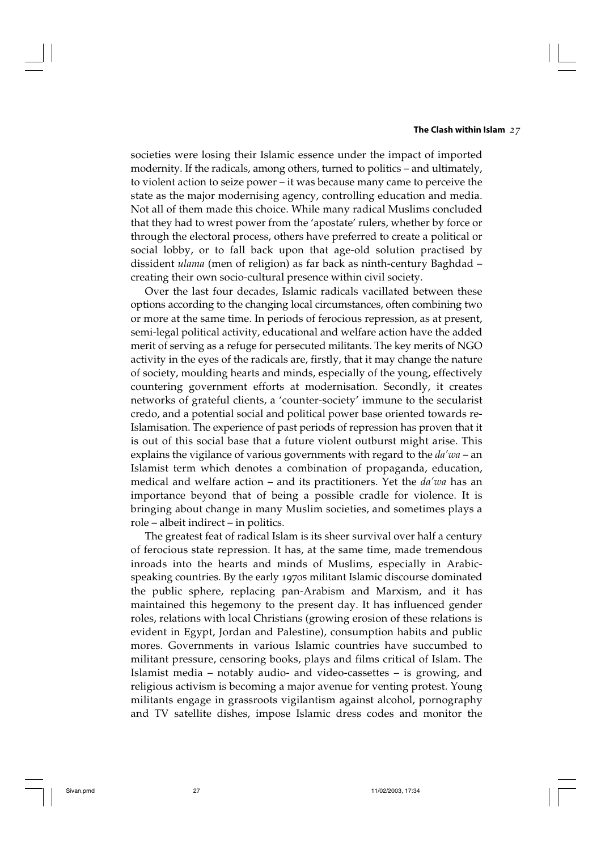societies were losing their Islamic essence under the impact of imported modernity. If the radicals, among others, turned to politics – and ultimately, to violent action to seize power – it was because many came to perceive the state as the major modernising agency, controlling education and media. Not all of them made this choice. While many radical Muslims concluded that they had to wrest power from the 'apostate' rulers, whether by force or through the electoral process, others have preferred to create a political or social lobby, or to fall back upon that age-old solution practised by dissident *ulama* (men of religion) as far back as ninth-century Baghdad – creating their own socio-cultural presence within civil society.

Over the last four decades, Islamic radicals vacillated between these options according to the changing local circumstances, often combining two or more at the same time. In periods of ferocious repression, as at present, semi-legal political activity, educational and welfare action have the added merit of serving as a refuge for persecuted militants. The key merits of NGO activity in the eyes of the radicals are, firstly, that it may change the nature of society, moulding hearts and minds, especially of the young, effectively countering government efforts at modernisation. Secondly, it creates networks of grateful clients, a 'counter-society' immune to the secularist credo, and a potential social and political power base oriented towards re-Islamisation. The experience of past periods of repression has proven that it is out of this social base that a future violent outburst might arise. This explains the vigilance of various governments with regard to the *da'wa* – an Islamist term which denotes a combination of propaganda, education, medical and welfare action – and its practitioners. Yet the *da'wa* has an importance beyond that of being a possible cradle for violence. It is bringing about change in many Muslim societies, and sometimes plays a role – albeit indirect – in politics.

The greatest feat of radical Islam is its sheer survival over half a century of ferocious state repression. It has, at the same time, made tremendous inroads into the hearts and minds of Muslims, especially in Arabicspeaking countries. By the early 1970s militant Islamic discourse dominated the public sphere, replacing pan-Arabism and Marxism, and it has maintained this hegemony to the present day. It has influenced gender roles, relations with local Christians (growing erosion of these relations is evident in Egypt, Jordan and Palestine), consumption habits and public mores. Governments in various Islamic countries have succumbed to militant pressure, censoring books, plays and films critical of Islam. The Islamist media – notably audio- and video-cassettes – is growing, and religious activism is becoming a major avenue for venting protest. Young militants engage in grassroots vigilantism against alcohol, pornography and TV satellite dishes, impose Islamic dress codes and monitor the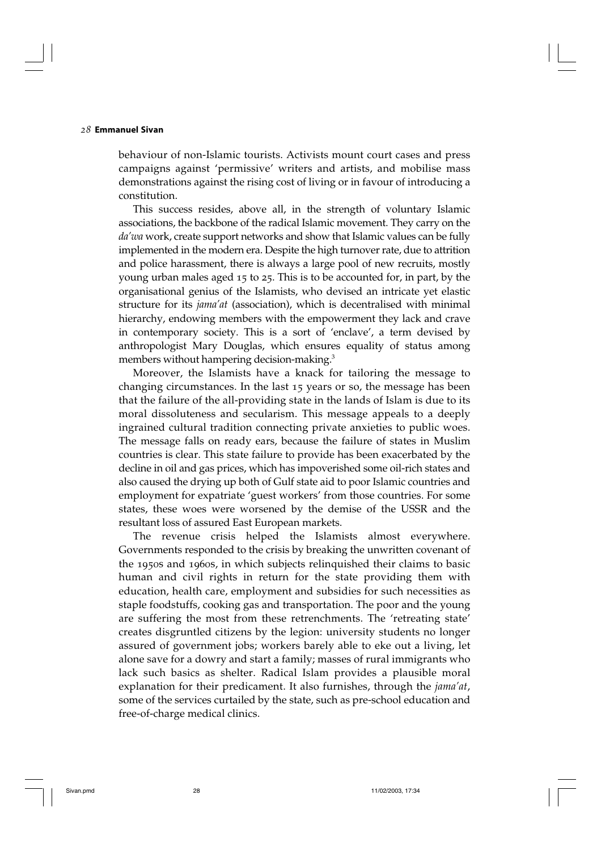behaviour of non-Islamic tourists. Activists mount court cases and press campaigns against 'permissive' writers and artists, and mobilise mass demonstrations against the rising cost of living or in favour of introducing a constitution.

This success resides, above all, in the strength of voluntary Islamic associations, the backbone of the radical Islamic movement. They carry on the *da'wa* work, create support networks and show that Islamic values can be fully implemented in the modern era. Despite the high turnover rate, due to attrition and police harassment, there is always a large pool of new recruits, mostly young urban males aged 15 to 25. This is to be accounted for, in part, by the organisational genius of the Islamists, who devised an intricate yet elastic structure for its *jama'at* (association), which is decentralised with minimal hierarchy, endowing members with the empowerment they lack and crave in contemporary society. This is a sort of 'enclave', a term devised by anthropologist Mary Douglas, which ensures equality of status among members without hampering decision-making.<sup>3</sup>

Moreover, the Islamists have a knack for tailoring the message to changing circumstances. In the last 15 years or so, the message has been that the failure of the all-providing state in the lands of Islam is due to its moral dissoluteness and secularism. This message appeals to a deeply ingrained cultural tradition connecting private anxieties to public woes. The message falls on ready ears, because the failure of states in Muslim countries is clear. This state failure to provide has been exacerbated by the decline in oil and gas prices, which has impoverished some oil-rich states and also caused the drying up both of Gulf state aid to poor Islamic countries and employment for expatriate 'guest workers' from those countries. For some states, these woes were worsened by the demise of the USSR and the resultant loss of assured East European markets.

The revenue crisis helped the Islamists almost everywhere. Governments responded to the crisis by breaking the unwritten covenant of the 1950s and 1960s, in which subjects relinquished their claims to basic human and civil rights in return for the state providing them with education, health care, employment and subsidies for such necessities as staple foodstuffs, cooking gas and transportation. The poor and the young are suffering the most from these retrenchments. The 'retreating state' creates disgruntled citizens by the legion: university students no longer assured of government jobs; workers barely able to eke out a living, let alone save for a dowry and start a family; masses of rural immigrants who lack such basics as shelter. Radical Islam provides a plausible moral explanation for their predicament. It also furnishes, through the *jama'at*, some of the services curtailed by the state, such as pre-school education and free-of-charge medical clinics.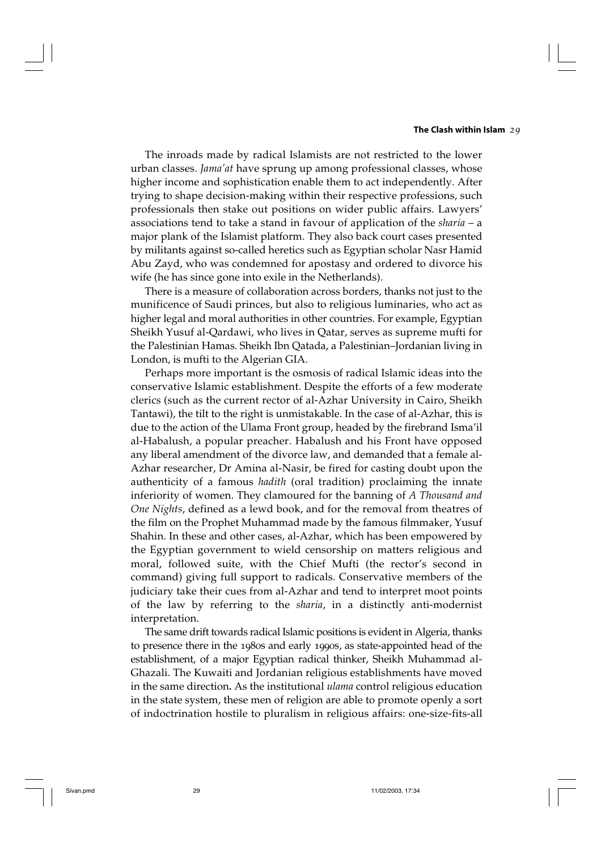The inroads made by radical Islamists are not restricted to the lower urban classes. *Jama'at* have sprung up among professional classes, whose higher income and sophistication enable them to act independently. After trying to shape decision-making within their respective professions, such professionals then stake out positions on wider public affairs. Lawyers' associations tend to take a stand in favour of application of the *sharia* – a major plank of the Islamist platform. They also back court cases presented by militants against so-called heretics such as Egyptian scholar Nasr Hamid Abu Zayd, who was condemned for apostasy and ordered to divorce his wife (he has since gone into exile in the Netherlands).

There is a measure of collaboration across borders, thanks not just to the munificence of Saudi princes, but also to religious luminaries, who act as higher legal and moral authorities in other countries. For example, Egyptian Sheikh Yusuf al-Qardawi, who lives in Qatar, serves as supreme mufti for the Palestinian Hamas. Sheikh Ibn Qatada, a Palestinian–Jordanian living in London, is mufti to the Algerian GIA.

Perhaps more important is the osmosis of radical Islamic ideas into the conservative Islamic establishment. Despite the efforts of a few moderate clerics (such as the current rector of al-Azhar University in Cairo, Sheikh Tantawi), the tilt to the right is unmistakable. In the case of al-Azhar, this is due to the action of the Ulama Front group, headed by the firebrand Isma'il al-Habalush, a popular preacher. Habalush and his Front have opposed any liberal amendment of the divorce law, and demanded that a female al-Azhar researcher, Dr Amina al-Nasir, be fired for casting doubt upon the authenticity of a famous *hadith* (oral tradition) proclaiming the innate inferiority of women. They clamoured for the banning of *A Thousand and One Nights*, defined as a lewd book, and for the removal from theatres of the film on the Prophet Muhammad made by the famous filmmaker, Yusuf Shahin. In these and other cases, al-Azhar, which has been empowered by the Egyptian government to wield censorship on matters religious and moral, followed suite, with the Chief Mufti (the rector's second in command) giving full support to radicals. Conservative members of the judiciary take their cues from al-Azhar and tend to interpret moot points of the law by referring to the *sharia*, in a distinctly anti-modernist interpretation.

The same drift towards radical Islamic positions is evident in Algeria, thanks to presence there in the 1980s and early 1990s, as state-appointed head of the establishment, of a major Egyptian radical thinker, Sheikh Muhammad al-Ghazali. The Kuwaiti and Jordanian religious establishments have moved in the same direction**.** As the institutional *ulama* control religious education in the state system, these men of religion are able to promote openly a sort of indoctrination hostile to pluralism in religious affairs: one-size-fits-all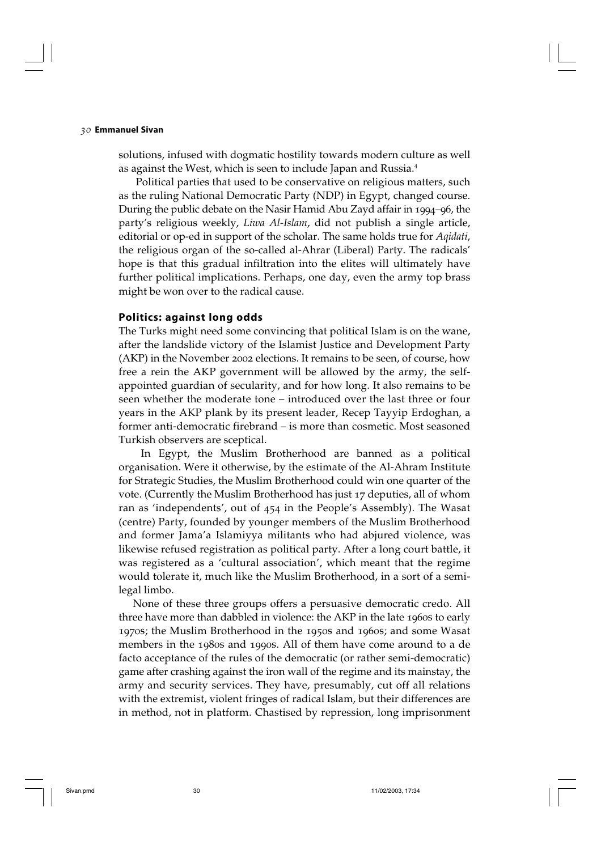solutions, infused with dogmatic hostility towards modern culture as well as against the West, which is seen to include Japan and Russia.4

 Political parties that used to be conservative on religious matters, such as the ruling National Democratic Party (NDP) in Egypt, changed course. During the public debate on the Nasir Hamid Abu Zayd affair in 1994–96, the party's religious weekly, *Liwa Al-Islam*, did not publish a single article, editorial or op-ed in support of the scholar. The same holds true for *Aqidati*, the religious organ of the so-called al-Ahrar (Liberal) Party. The radicals' hope is that this gradual infiltration into the elites will ultimately have further political implications. Perhaps, one day, even the army top brass might be won over to the radical cause.

# **Politics: against long odds**

The Turks might need some convincing that political Islam is on the wane, after the landslide victory of the Islamist Justice and Development Party (AKP) in the November 2002 elections. It remains to be seen, of course, how free a rein the AKP government will be allowed by the army, the selfappointed guardian of secularity, and for how long. It also remains to be seen whether the moderate tone – introduced over the last three or four years in the AKP plank by its present leader, Recep Tayyip Erdoghan, a former anti-democratic firebrand – is more than cosmetic. Most seasoned Turkish observers are sceptical.

 In Egypt, the Muslim Brotherhood are banned as a political organisation. Were it otherwise, by the estimate of the Al-Ahram Institute for Strategic Studies, the Muslim Brotherhood could win one quarter of the vote. (Currently the Muslim Brotherhood has just 17 deputies, all of whom ran as 'independents', out of 454 in the People's Assembly). The Wasat (centre) Party, founded by younger members of the Muslim Brotherhood and former Jama'a Islamiyya militants who had abjured violence, was likewise refused registration as political party. After a long court battle, it was registered as a 'cultural association', which meant that the regime would tolerate it, much like the Muslim Brotherhood, in a sort of a semilegal limbo.

None of these three groups offers a persuasive democratic credo. All three have more than dabbled in violence: the AKP in the late 1960s to early 1970s; the Muslim Brotherhood in the 1950s and 1960s; and some Wasat members in the 1980s and 1990s. All of them have come around to a de facto acceptance of the rules of the democratic (or rather semi-democratic) game after crashing against the iron wall of the regime and its mainstay, the army and security services. They have, presumably, cut off all relations with the extremist, violent fringes of radical Islam, but their differences are in method, not in platform. Chastised by repression, long imprisonment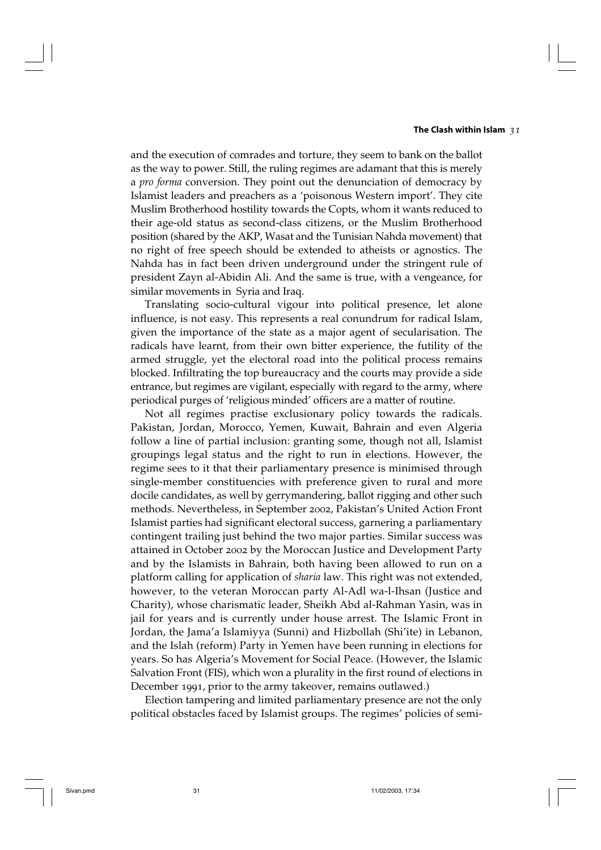and the execution of comrades and torture, they seem to bank on the ballot as the way to power. Still, the ruling regimes are adamant that this is merely a *pro forma* conversion. They point out the denunciation of democracy by Islamist leaders and preachers as a 'poisonous Western import'. They cite Muslim Brotherhood hostility towards the Copts, whom it wants reduced to their age-old status as second-class citizens, or the Muslim Brotherhood position (shared by the AKP, Wasat and the Tunisian Nahda movement) that no right of free speech should be extended to atheists or agnostics. The Nahda has in fact been driven underground under the stringent rule of president Zayn al-Abidin Ali. And the same is true, with a vengeance, for similar movements in Syria and Iraq.

Translating socio-cultural vigour into political presence, let alone influence, is not easy. This represents a real conundrum for radical Islam, given the importance of the state as a major agent of secularisation. The radicals have learnt, from their own bitter experience, the futility of the armed struggle, yet the electoral road into the political process remains blocked. Infiltrating the top bureaucracy and the courts may provide a side entrance, but regimes are vigilant, especially with regard to the army, where periodical purges of 'religious minded' officers are a matter of routine.

Not all regimes practise exclusionary policy towards the radicals. Pakistan, Jordan, Morocco, Yemen, Kuwait, Bahrain and even Algeria follow a line of partial inclusion: granting some, though not all, Islamist groupings legal status and the right to run in elections. However, the regime sees to it that their parliamentary presence is minimised through single-member constituencies with preference given to rural and more docile candidates, as well by gerrymandering, ballot rigging and other such methods. Nevertheless, in September 2002, Pakistan's United Action Front Islamist parties had significant electoral success, garnering a parliamentary contingent trailing just behind the two major parties. Similar success was attained in October 2002 by the Moroccan Justice and Development Party and by the Islamists in Bahrain, both having been allowed to run on a platform calling for application of *sharia* law. This right was not extended, however, to the veteran Moroccan party Al-Adl wa-l-Ihsan (Justice and Charity), whose charismatic leader, Sheikh Abd al-Rahman Yasin, was in jail for years and is currently under house arrest. The Islamic Front in Jordan, the Jama'a Islamiyya (Sunni) and Hizbollah (Shi'ite) in Lebanon, and the Islah (reform) Party in Yemen have been running in elections for years. So has Algeria's Movement for Social Peace. (However, the Islamic Salvation Front (FIS), which won a plurality in the first round of elections in December 1991, prior to the army takeover, remains outlawed.)

Election tampering and limited parliamentary presence are not the only political obstacles faced by Islamist groups. The regimes' policies of semi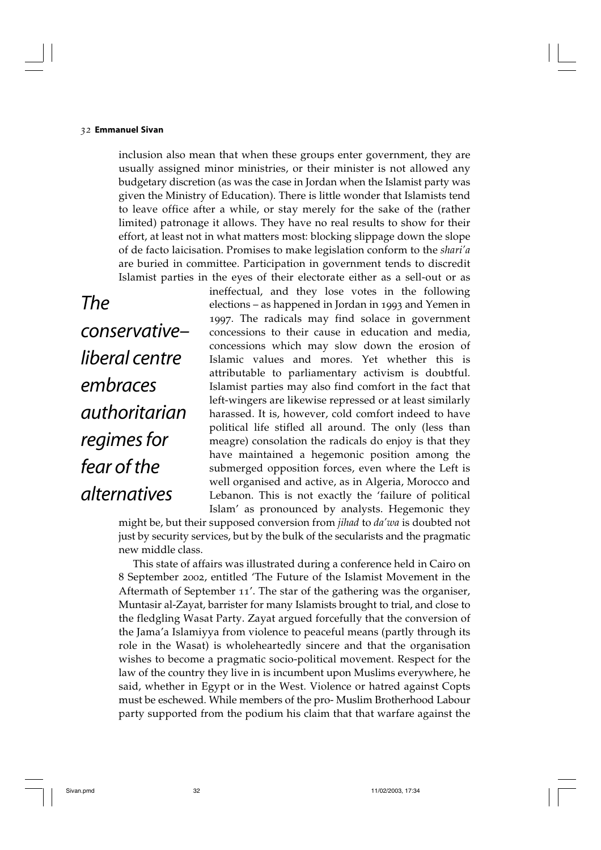inclusion also mean that when these groups enter government, they are usually assigned minor ministries, or their minister is not allowed any budgetary discretion (as was the case in Jordan when the Islamist party was given the Ministry of Education). There is little wonder that Islamists tend to leave office after a while, or stay merely for the sake of the (rather limited) patronage it allows. They have no real results to show for their effort, at least not in what matters most: blocking slippage down the slope of de facto laicisation. Promises to make legislation conform to the *shari'a* are buried in committee. Participation in government tends to discredit Islamist parties in the eyes of their electorate either as a sell-out or as

# *The*

*conservative– liberal centre embraces authoritarian regimes for fear of the alternatives*

ineffectual, and they lose votes in the following elections – as happened in Jordan in 1993 and Yemen in 1997. The radicals may find solace in government concessions to their cause in education and media, concessions which may slow down the erosion of Islamic values and mores. Yet whether this is attributable to parliamentary activism is doubtful. Islamist parties may also find comfort in the fact that left-wingers are likewise repressed or at least similarly harassed. It is, however, cold comfort indeed to have political life stifled all around. The only (less than meagre) consolation the radicals do enjoy is that they have maintained a hegemonic position among the submerged opposition forces, even where the Left is well organised and active, as in Algeria, Morocco and Lebanon. This is not exactly the 'failure of political Islam' as pronounced by analysts. Hegemonic they

might be, but their supposed conversion from *jihad* to *da'wa* is doubted not just by security services, but by the bulk of the secularists and the pragmatic new middle class.

This state of affairs was illustrated during a conference held in Cairo on 8 September 2002, entitled 'The Future of the Islamist Movement in the Aftermath of September 11'. The star of the gathering was the organiser, Muntasir al-Zayat, barrister for many Islamists brought to trial, and close to the fledgling Wasat Party. Zayat argued forcefully that the conversion of the Jama'a Islamiyya from violence to peaceful means (partly through its role in the Wasat) is wholeheartedly sincere and that the organisation wishes to become a pragmatic socio-political movement. Respect for the law of the country they live in is incumbent upon Muslims everywhere, he said, whether in Egypt or in the West. Violence or hatred against Copts must be eschewed. While members of the pro- Muslim Brotherhood Labour party supported from the podium his claim that that warfare against the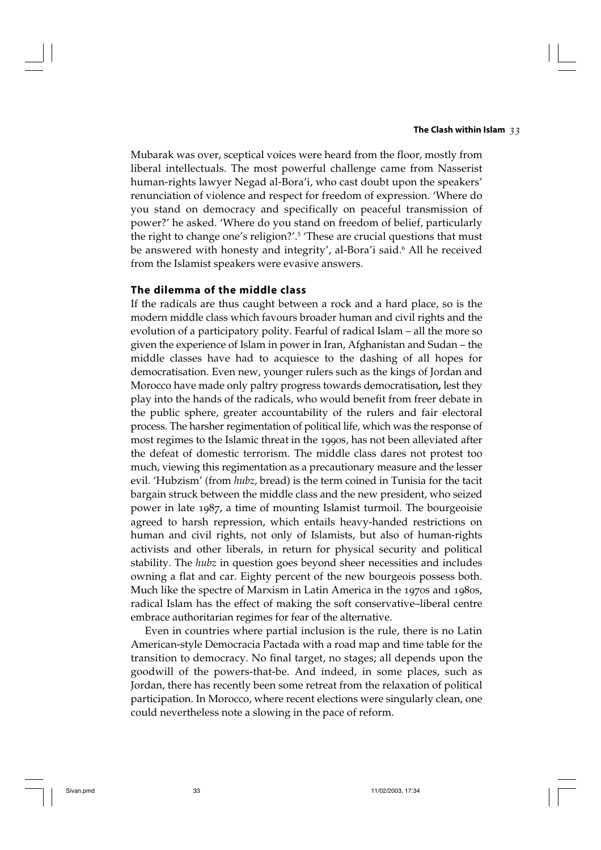Mubarak was over, sceptical voices were heard from the floor, mostly from liberal intellectuals. The most powerful challenge came from Nasserist human-rights lawyer Negad al-Bora'i, who cast doubt upon the speakers' renunciation of violence and respect for freedom of expression. 'Where do you stand on democracy and specifically on peaceful transmission of power?' he asked. 'Where do you stand on freedom of belief, particularly the right to change one's religion?'.5 'These are crucial questions that must be answered with honesty and integrity', al-Bora'i said.6 All he received from the Islamist speakers were evasive answers.

# **The dilemma of the middle class**

If the radicals are thus caught between a rock and a hard place, so is the modern middle class which favours broader human and civil rights and the evolution of a participatory polity. Fearful of radical Islam – all the more so given the experience of Islam in power in Iran, Afghanistan and Sudan – the middle classes have had to acquiesce to the dashing of all hopes for democratisation. Even new, younger rulers such as the kings of Jordan and Morocco have made only paltry progress towards democratisation**,** lest they play into the hands of the radicals, who would benefit from freer debate in the public sphere, greater accountability of the rulers and fair electoral process. The harsher regimentation of political life, which was the response of most regimes to the Islamic threat in the 1990s, has not been alleviated after the defeat of domestic terrorism. The middle class dares not protest too much, viewing this regimentation as a precautionary measure and the lesser evil. 'Hubzism' (from *hubz*, bread) is the term coined in Tunisia for the tacit bargain struck between the middle class and the new president, who seized power in late 1987, a time of mounting Islamist turmoil. The bourgeoisie agreed to harsh repression, which entails heavy-handed restrictions on human and civil rights, not only of Islamists, but also of human-rights activists and other liberals, in return for physical security and political stability. The *hubz* in question goes beyond sheer necessities and includes owning a flat and car. Eighty percent of the new bourgeois possess both. Much like the spectre of Marxism in Latin America in the 1970s and 1980s, radical Islam has the effect of making the soft conservative–liberal centre embrace authoritarian regimes for fear of the alternative.

Even in countries where partial inclusion is the rule, there is no Latin American-style Democracia Pactada with a road map and time table for the transition to democracy. No final target, no stages; all depends upon the goodwill of the powers-that-be. And indeed, in some places, such as Jordan, there has recently been some retreat from the relaxation of political participation. In Morocco, where recent elections were singularly clean, one could nevertheless note a slowing in the pace of reform.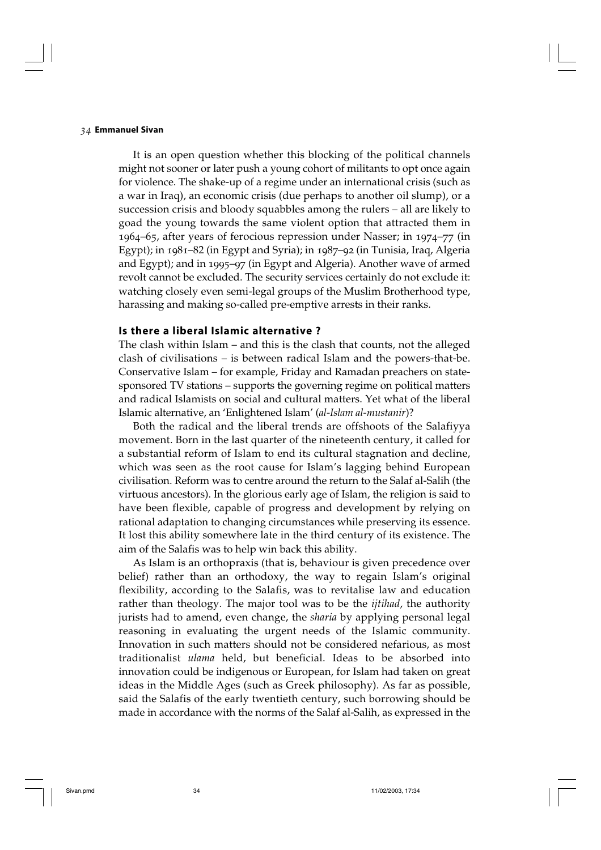It is an open question whether this blocking of the political channels might not sooner or later push a young cohort of militants to opt once again for violence. The shake-up of a regime under an international crisis (such as a war in Iraq), an economic crisis (due perhaps to another oil slump), or a succession crisis and bloody squabbles among the rulers – all are likely to goad the young towards the same violent option that attracted them in 1964–65, after years of ferocious repression under Nasser; in 1974–77 (in Egypt); in 1981–82 (in Egypt and Syria); in 1987–92 (in Tunisia, Iraq, Algeria and Egypt); and in 1995–97 (in Egypt and Algeria). Another wave of armed revolt cannot be excluded. The security services certainly do not exclude it: watching closely even semi-legal groups of the Muslim Brotherhood type, harassing and making so-called pre-emptive arrests in their ranks.

### **Is there a liberal Islamic alternative ?**

The clash within Islam – and this is the clash that counts, not the alleged clash of civilisations – is between radical Islam and the powers-that-be. Conservative Islam – for example, Friday and Ramadan preachers on statesponsored TV stations – supports the governing regime on political matters and radical Islamists on social and cultural matters. Yet what of the liberal Islamic alternative, an 'Enlightened Islam' (*al-Islam al-mustanir*)?

Both the radical and the liberal trends are offshoots of the Salafiyya movement. Born in the last quarter of the nineteenth century, it called for a substantial reform of Islam to end its cultural stagnation and decline, which was seen as the root cause for Islam's lagging behind European civilisation. Reform was to centre around the return to the Salaf al-Salih (the virtuous ancestors). In the glorious early age of Islam, the religion is said to have been flexible, capable of progress and development by relying on rational adaptation to changing circumstances while preserving its essence. It lost this ability somewhere late in the third century of its existence. The aim of the Salafis was to help win back this ability.

As Islam is an orthopraxis (that is, behaviour is given precedence over belief) rather than an orthodoxy, the way to regain Islam's original flexibility, according to the Salafis, was to revitalise law and education rather than theology. The major tool was to be the *ijtihad*, the authority jurists had to amend, even change, the *sharia* by applying personal legal reasoning in evaluating the urgent needs of the Islamic community. Innovation in such matters should not be considered nefarious, as most traditionalist *ulama* held, but beneficial. Ideas to be absorbed into innovation could be indigenous or European, for Islam had taken on great ideas in the Middle Ages (such as Greek philosophy). As far as possible, said the Salafis of the early twentieth century, such borrowing should be made in accordance with the norms of the Salaf al-Salih, as expressed in the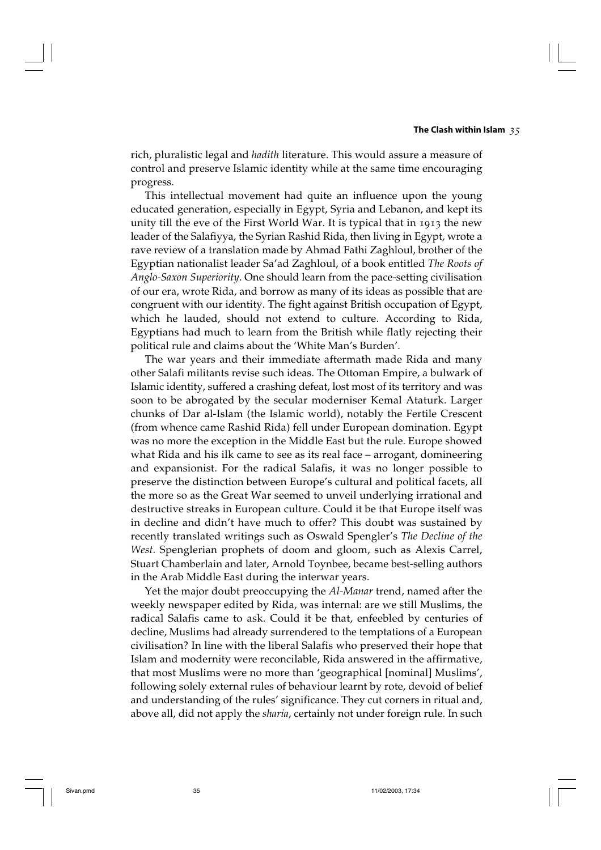rich, pluralistic legal and *hadith* literature. This would assure a measure of control and preserve Islamic identity while at the same time encouraging progress.

This intellectual movement had quite an influence upon the young educated generation, especially in Egypt, Syria and Lebanon, and kept its unity till the eve of the First World War. It is typical that in 1913 the new leader of the Salafiyya, the Syrian Rashid Rida, then living in Egypt, wrote a rave review of a translation made by Ahmad Fathi Zaghloul, brother of the Egyptian nationalist leader Sa'ad Zaghloul, of a book entitled *The Roots of Anglo-Saxon Superiority*. One should learn from the pace-setting civilisation of our era, wrote Rida, and borrow as many of its ideas as possible that are congruent with our identity. The fight against British occupation of Egypt, which he lauded, should not extend to culture. According to Rida, Egyptians had much to learn from the British while flatly rejecting their political rule and claims about the 'White Man's Burden'.

The war years and their immediate aftermath made Rida and many other Salafi militants revise such ideas. The Ottoman Empire, a bulwark of Islamic identity, suffered a crashing defeat, lost most of its territory and was soon to be abrogated by the secular moderniser Kemal Ataturk. Larger chunks of Dar al-Islam (the Islamic world), notably the Fertile Crescent (from whence came Rashid Rida) fell under European domination. Egypt was no more the exception in the Middle East but the rule. Europe showed what Rida and his ilk came to see as its real face – arrogant, domineering and expansionist. For the radical Salafis, it was no longer possible to preserve the distinction between Europe's cultural and political facets, all the more so as the Great War seemed to unveil underlying irrational and destructive streaks in European culture. Could it be that Europe itself was in decline and didn't have much to offer? This doubt was sustained by recently translated writings such as Oswald Spengler's *The Decline of the West*. Spenglerian prophets of doom and gloom, such as Alexis Carrel, Stuart Chamberlain and later, Arnold Toynbee, became best-selling authors in the Arab Middle East during the interwar years.

Yet the major doubt preoccupying the *Al-Manar* trend, named after the weekly newspaper edited by Rida, was internal: are we still Muslims, the radical Salafis came to ask. Could it be that, enfeebled by centuries of decline, Muslims had already surrendered to the temptations of a European civilisation? In line with the liberal Salafis who preserved their hope that Islam and modernity were reconcilable, Rida answered in the affirmative, that most Muslims were no more than 'geographical [nominal] Muslims', following solely external rules of behaviour learnt by rote, devoid of belief and understanding of the rules' significance. They cut corners in ritual and, above all, did not apply the *sharia*, certainly not under foreign rule. In such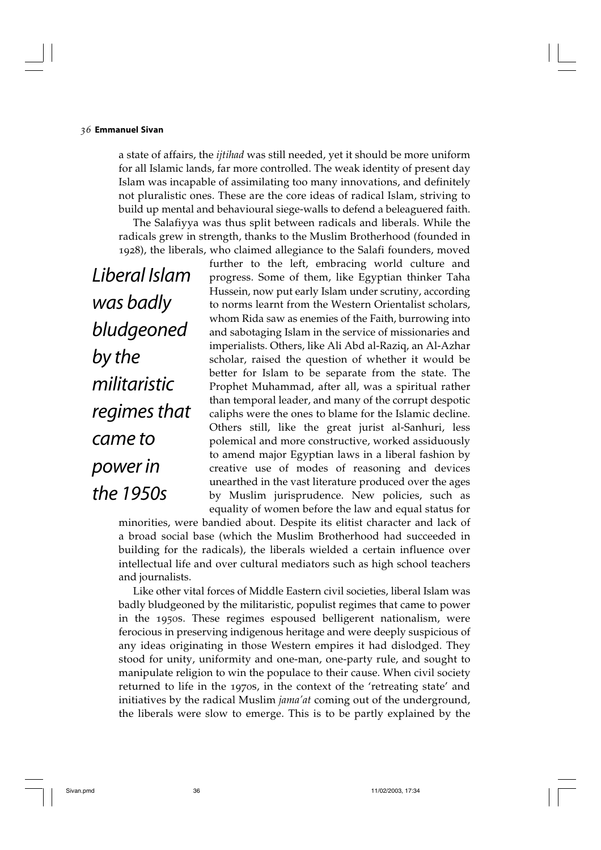a state of affairs, the *ijtihad* was still needed, yet it should be more uniform for all Islamic lands, far more controlled. The weak identity of present day Islam was incapable of assimilating too many innovations, and definitely not pluralistic ones. These are the core ideas of radical Islam, striving to build up mental and behavioural siege-walls to defend a beleaguered faith.

The Salafiyya was thus split between radicals and liberals. While the radicals grew in strength, thanks to the Muslim Brotherhood (founded in 1928), the liberals, who claimed allegiance to the Salafi founders, moved

*Liberal Islam was badly bludgeoned by the militaristic regimes that came to power in the 1950s*

further to the left, embracing world culture and progress. Some of them, like Egyptian thinker Taha Hussein, now put early Islam under scrutiny, according to norms learnt from the Western Orientalist scholars, whom Rida saw as enemies of the Faith, burrowing into and sabotaging Islam in the service of missionaries and imperialists. Others, like Ali Abd al-Raziq, an Al-Azhar scholar, raised the question of whether it would be better for Islam to be separate from the state. The Prophet Muhammad, after all, was a spiritual rather than temporal leader, and many of the corrupt despotic caliphs were the ones to blame for the Islamic decline. Others still, like the great jurist al-Sanhuri, less polemical and more constructive, worked assiduously to amend major Egyptian laws in a liberal fashion by creative use of modes of reasoning and devices unearthed in the vast literature produced over the ages by Muslim jurisprudence. New policies, such as equality of women before the law and equal status for

minorities, were bandied about. Despite its elitist character and lack of a broad social base (which the Muslim Brotherhood had succeeded in building for the radicals), the liberals wielded a certain influence over intellectual life and over cultural mediators such as high school teachers and journalists.

Like other vital forces of Middle Eastern civil societies, liberal Islam was badly bludgeoned by the militaristic, populist regimes that came to power in the 1950s. These regimes espoused belligerent nationalism, were ferocious in preserving indigenous heritage and were deeply suspicious of any ideas originating in those Western empires it had dislodged. They stood for unity, uniformity and one-man, one-party rule, and sought to manipulate religion to win the populace to their cause. When civil society returned to life in the 1970s, in the context of the 'retreating state' and initiatives by the radical Muslim *jama'at* coming out of the underground, the liberals were slow to emerge. This is to be partly explained by the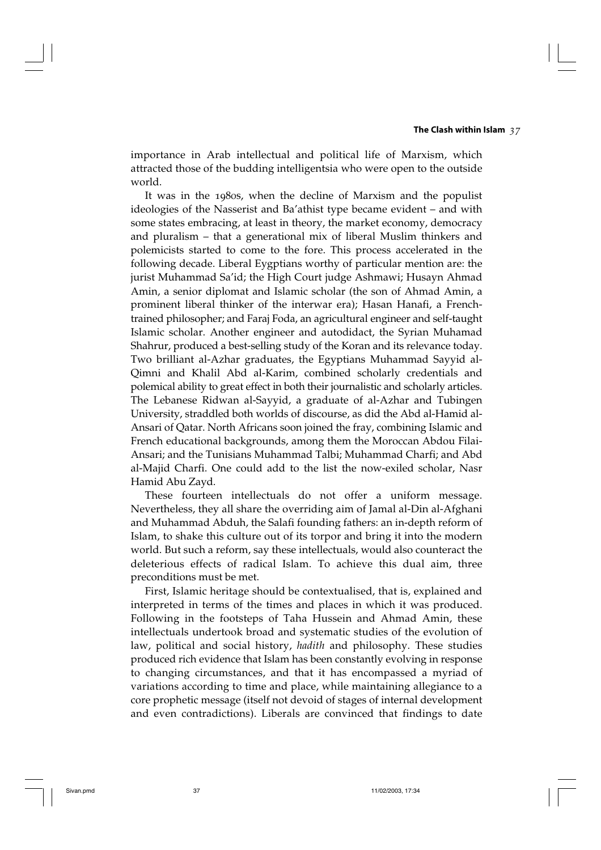importance in Arab intellectual and political life of Marxism, which attracted those of the budding intelligentsia who were open to the outside world.

It was in the 1980s, when the decline of Marxism and the populist ideologies of the Nasserist and Ba'athist type became evident – and with some states embracing, at least in theory, the market economy, democracy and pluralism – that a generational mix of liberal Muslim thinkers and polemicists started to come to the fore. This process accelerated in the following decade. Liberal Eygptians worthy of particular mention are: the jurist Muhammad Sa'id; the High Court judge Ashmawi; Husayn Ahmad Amin, a senior diplomat and Islamic scholar (the son of Ahmad Amin, a prominent liberal thinker of the interwar era); Hasan Hanafi, a Frenchtrained philosopher; and Faraj Foda, an agricultural engineer and self-taught Islamic scholar. Another engineer and autodidact, the Syrian Muhamad Shahrur, produced a best-selling study of the Koran and its relevance today. Two brilliant al-Azhar graduates, the Egyptians Muhammad Sayyid al-Qimni and Khalil Abd al-Karim, combined scholarly credentials and polemical ability to great effect in both their journalistic and scholarly articles. The Lebanese Ridwan al-Sayyid, a graduate of al-Azhar and Tubingen University, straddled both worlds of discourse, as did the Abd al-Hamid al-Ansari of Qatar. North Africans soon joined the fray, combining Islamic and French educational backgrounds, among them the Moroccan Abdou Filai-Ansari; and the Tunisians Muhammad Talbi; Muhammad Charfi; and Abd al-Majid Charfi. One could add to the list the now-exiled scholar, Nasr Hamid Abu Zayd.

These fourteen intellectuals do not offer a uniform message. Nevertheless, they all share the overriding aim of Jamal al-Din al-Afghani and Muhammad Abduh, the Salafi founding fathers: an in-depth reform of Islam, to shake this culture out of its torpor and bring it into the modern world. But such a reform, say these intellectuals, would also counteract the deleterious effects of radical Islam. To achieve this dual aim, three preconditions must be met.

First, Islamic heritage should be contextualised, that is, explained and interpreted in terms of the times and places in which it was produced. Following in the footsteps of Taha Hussein and Ahmad Amin, these intellectuals undertook broad and systematic studies of the evolution of law, political and social history, *hadith* and philosophy. These studies produced rich evidence that Islam has been constantly evolving in response to changing circumstances, and that it has encompassed a myriad of variations according to time and place, while maintaining allegiance to a core prophetic message (itself not devoid of stages of internal development and even contradictions). Liberals are convinced that findings to date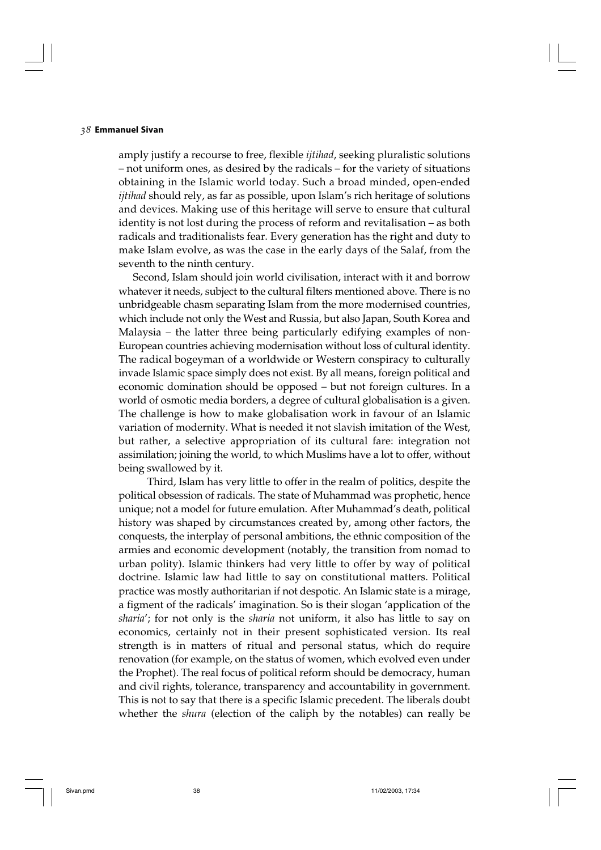amply justify a recourse to free, flexible *ijtihad*, seeking pluralistic solutions – not uniform ones, as desired by the radicals – for the variety of situations obtaining in the Islamic world today. Such a broad minded, open-ended *ijtihad* should rely, as far as possible, upon Islam's rich heritage of solutions and devices. Making use of this heritage will serve to ensure that cultural identity is not lost during the process of reform and revitalisation – as both radicals and traditionalists fear. Every generation has the right and duty to make Islam evolve, as was the case in the early days of the Salaf, from the seventh to the ninth century.

Second, Islam should join world civilisation, interact with it and borrow whatever it needs, subject to the cultural filters mentioned above. There is no unbridgeable chasm separating Islam from the more modernised countries, which include not only the West and Russia, but also Japan, South Korea and Malaysia – the latter three being particularly edifying examples of non-European countries achieving modernisation without loss of cultural identity. The radical bogeyman of a worldwide or Western conspiracy to culturally invade Islamic space simply does not exist. By all means, foreign political and economic domination should be opposed – but not foreign cultures. In a world of osmotic media borders, a degree of cultural globalisation is a given. The challenge is how to make globalisation work in favour of an Islamic variation of modernity. What is needed it not slavish imitation of the West, but rather, a selective appropriation of its cultural fare: integration not assimilation; joining the world, to which Muslims have a lot to offer, without being swallowed by it.

Third, Islam has very little to offer in the realm of politics, despite the political obsession of radicals. The state of Muhammad was prophetic, hence unique; not a model for future emulation. After Muhammad's death, political history was shaped by circumstances created by, among other factors, the conquests, the interplay of personal ambitions, the ethnic composition of the armies and economic development (notably, the transition from nomad to urban polity). Islamic thinkers had very little to offer by way of political doctrine. Islamic law had little to say on constitutional matters. Political practice was mostly authoritarian if not despotic. An Islamic state is a mirage, a figment of the radicals' imagination. So is their slogan 'application of the *sharia*'; for not only is the *sharia* not uniform, it also has little to say on economics, certainly not in their present sophisticated version. Its real strength is in matters of ritual and personal status, which do require renovation (for example, on the status of women, which evolved even under the Prophet). The real focus of political reform should be democracy, human and civil rights, tolerance, transparency and accountability in government. This is not to say that there is a specific Islamic precedent. The liberals doubt whether the *shura* (election of the caliph by the notables) can really be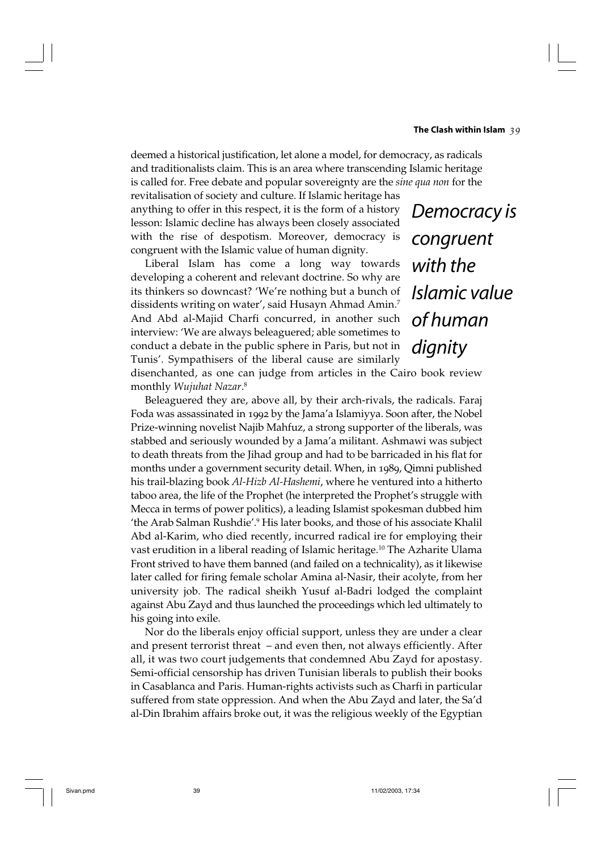deemed a historical justification, let alone a model, for democracy, as radicals and traditionalists claim. This is an area where transcending Islamic heritage is called for. Free debate and popular sovereignty are the *sine qua non* for the

revitalisation of society and culture. If Islamic heritage has anything to offer in this respect, it is the form of a history lesson: Islamic decline has always been closely associated with the rise of despotism. Moreover, democracy is congruent with the Islamic value of human dignity.

Liberal Islam has come a long way towards developing a coherent and relevant doctrine. So why are its thinkers so downcast? 'We're nothing but a bunch of dissidents writing on water', said Husayn Ahmad Amin.<sup>7</sup> And Abd al-Majid Charfi concurred, in another such interview: 'We are always beleaguered; able sometimes to conduct a debate in the public sphere in Paris, but not in Tunis'. Sympathisers of the liberal cause are similarly

*Democracy is congruent with the Islamic value of human dignity*

disenchanted, as one can judge from articles in the Cairo book review monthly *Wujuhat Nazar*. 8

Beleaguered they are, above all, by their arch-rivals, the radicals. Faraj Foda was assassinated in 1992 by the Jama'a Islamiyya. Soon after, the Nobel Prize-winning novelist Najib Mahfuz, a strong supporter of the liberals, was stabbed and seriously wounded by a Jama'a militant. Ashmawi was subject to death threats from the Jihad group and had to be barricaded in his flat for months under a government security detail. When, in 1989, Qimni published his trail-blazing book *Al-Hizb Al-Hashemi*, where he ventured into a hitherto taboo area, the life of the Prophet (he interpreted the Prophet's struggle with Mecca in terms of power politics), a leading Islamist spokesman dubbed him 'the Arab Salman Rushdie'.9 His later books, and those of his associate Khalil Abd al-Karim, who died recently, incurred radical ire for employing their vast erudition in a liberal reading of Islamic heritage.<sup>10</sup> The Azharite Ulama Front strived to have them banned (and failed on a technicality), as it likewise later called for firing female scholar Amina al-Nasir, their acolyte, from her university job. The radical sheikh Yusuf al-Badri lodged the complaint against Abu Zayd and thus launched the proceedings which led ultimately to his going into exile.

Nor do the liberals enjoy official support, unless they are under a clear and present terrorist threat – and even then, not always efficiently. After all, it was two court judgements that condemned Abu Zayd for apostasy. Semi-official censorship has driven Tunisian liberals to publish their books in Casablanca and Paris. Human-rights activists such as Charfi in particular suffered from state oppression. And when the Abu Zayd and later, the Sa'd al-Din Ibrahim affairs broke out, it was the religious weekly of the Egyptian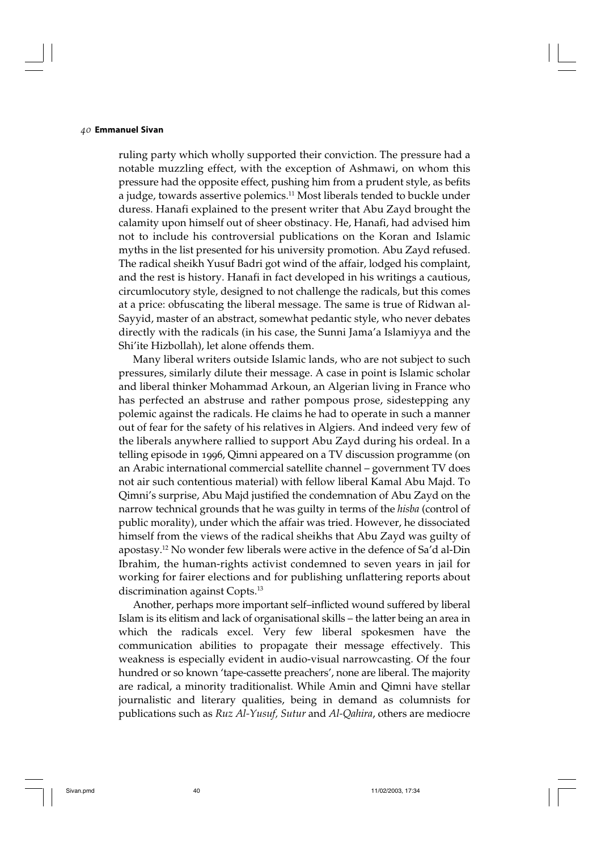ruling party which wholly supported their conviction. The pressure had a notable muzzling effect, with the exception of Ashmawi, on whom this pressure had the opposite effect, pushing him from a prudent style, as befits a judge, towards assertive polemics.<sup>11</sup> Most liberals tended to buckle under duress. Hanafi explained to the present writer that Abu Zayd brought the calamity upon himself out of sheer obstinacy. He, Hanafi, had advised him not to include his controversial publications on the Koran and Islamic myths in the list presented for his university promotion. Abu Zayd refused. The radical sheikh Yusuf Badri got wind of the affair, lodged his complaint, and the rest is history. Hanafi in fact developed in his writings a cautious, circumlocutory style, designed to not challenge the radicals, but this comes at a price: obfuscating the liberal message. The same is true of Ridwan al-Sayyid, master of an abstract, somewhat pedantic style, who never debates directly with the radicals (in his case, the Sunni Jama'a Islamiyya and the Shi'ite Hizbollah), let alone offends them.

Many liberal writers outside Islamic lands, who are not subject to such pressures, similarly dilute their message. A case in point is Islamic scholar and liberal thinker Mohammad Arkoun, an Algerian living in France who has perfected an abstruse and rather pompous prose, sidestepping any polemic against the radicals. He claims he had to operate in such a manner out of fear for the safety of his relatives in Algiers. And indeed very few of the liberals anywhere rallied to support Abu Zayd during his ordeal. In a telling episode in 1996, Qimni appeared on a TV discussion programme (on an Arabic international commercial satellite channel – government TV does not air such contentious material) with fellow liberal Kamal Abu Majd. To Qimni's surprise, Abu Majd justified the condemnation of Abu Zayd on the narrow technical grounds that he was guilty in terms of the *hisba* (control of public morality), under which the affair was tried. However, he dissociated himself from the views of the radical sheikhs that Abu Zayd was guilty of apostasy.12 No wonder few liberals were active in the defence of Sa'd al-Din Ibrahim, the human-rights activist condemned to seven years in jail for working for fairer elections and for publishing unflattering reports about discrimination against Copts.13

Another, perhaps more important self–inflicted wound suffered by liberal Islam is its elitism and lack of organisational skills – the latter being an area in which the radicals excel. Very few liberal spokesmen have the communication abilities to propagate their message effectively. This weakness is especially evident in audio-visual narrowcasting. Of the four hundred or so known 'tape-cassette preachers', none are liberal. The majority are radical, a minority traditionalist. While Amin and Qimni have stellar journalistic and literary qualities, being in demand as columnists for publications such as *Ruz Al-Yusuf, Sutur* and *Al-Qahira*, others are mediocre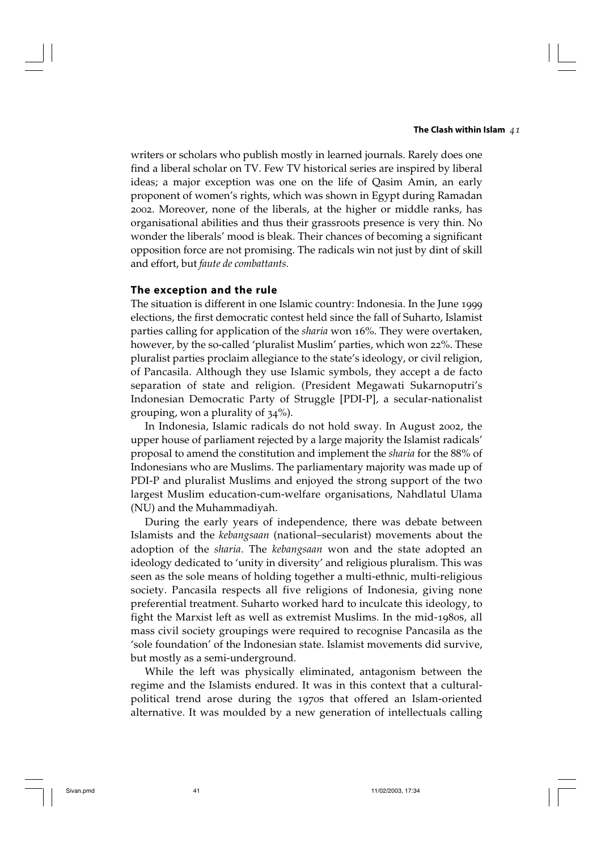writers or scholars who publish mostly in learned journals. Rarely does one find a liberal scholar on TV. Few TV historical series are inspired by liberal ideas; a major exception was one on the life of Qasim Amin, an early proponent of women's rights, which was shown in Egypt during Ramadan 2002. Moreover, none of the liberals, at the higher or middle ranks, has organisational abilities and thus their grassroots presence is very thin. No wonder the liberals' mood is bleak. Their chances of becoming a significant opposition force are not promising. The radicals win not just by dint of skill and effort, but *faute de combattants.*

# **The exception and the rule**

The situation is different in one Islamic country: Indonesia. In the June 1999 elections, the first democratic contest held since the fall of Suharto, Islamist parties calling for application of the *sharia* won 16%. They were overtaken, however, by the so-called 'pluralist Muslim' parties, which won 22%. These pluralist parties proclaim allegiance to the state's ideology, or civil religion, of Pancasila. Although they use Islamic symbols, they accept a de facto separation of state and religion. (President Megawati Sukarnoputri's Indonesian Democratic Party of Struggle [PDI-P], a secular-nationalist grouping, won a plurality of 34%).

In Indonesia, Islamic radicals do not hold sway. In August 2002, the upper house of parliament rejected by a large majority the Islamist radicals' proposal to amend the constitution and implement the *sharia* for the 88% of Indonesians who are Muslims. The parliamentary majority was made up of PDI-P and pluralist Muslims and enjoyed the strong support of the two largest Muslim education-cum-welfare organisations, Nahdlatul Ulama (NU) and the Muhammadiyah.

During the early years of independence, there was debate between Islamists and the *kebangsaan* (national–secularist) movements about the adoption of the *sharia*. The *kebangsaan* won and the state adopted an ideology dedicated to 'unity in diversity' and religious pluralism. This was seen as the sole means of holding together a multi-ethnic, multi-religious society. Pancasila respects all five religions of Indonesia, giving none preferential treatment. Suharto worked hard to inculcate this ideology, to fight the Marxist left as well as extremist Muslims. In the mid-1980s, all mass civil society groupings were required to recognise Pancasila as the 'sole foundation' of the Indonesian state. Islamist movements did survive, but mostly as a semi-underground.

While the left was physically eliminated, antagonism between the regime and the Islamists endured. It was in this context that a culturalpolitical trend arose during the 1970s that offered an Islam-oriented alternative. It was moulded by a new generation of intellectuals calling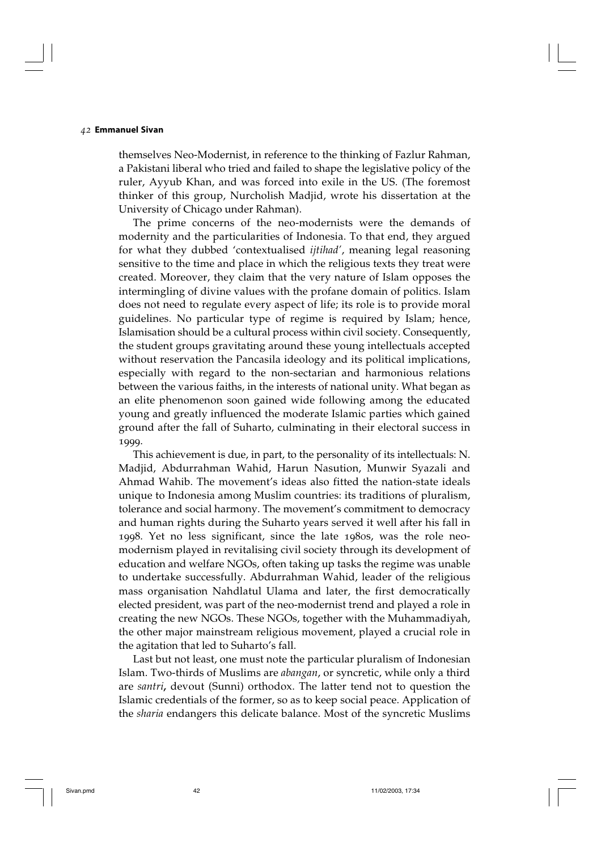themselves Neo-Modernist, in reference to the thinking of Fazlur Rahman, a Pakistani liberal who tried and failed to shape the legislative policy of the ruler, Ayyub Khan, and was forced into exile in the US. (The foremost thinker of this group, Nurcholish Madjid, wrote his dissertation at the University of Chicago under Rahman).

The prime concerns of the neo-modernists were the demands of modernity and the particularities of Indonesia. To that end, they argued for what they dubbed 'contextualised *ijtihad'*, meaning legal reasoning sensitive to the time and place in which the religious texts they treat were created. Moreover, they claim that the very nature of Islam opposes the intermingling of divine values with the profane domain of politics. Islam does not need to regulate every aspect of life; its role is to provide moral guidelines. No particular type of regime is required by Islam; hence, Islamisation should be a cultural process within civil society. Consequently, the student groups gravitating around these young intellectuals accepted without reservation the Pancasila ideology and its political implications, especially with regard to the non-sectarian and harmonious relations between the various faiths, in the interests of national unity. What began as an elite phenomenon soon gained wide following among the educated young and greatly influenced the moderate Islamic parties which gained ground after the fall of Suharto, culminating in their electoral success in 1999.

This achievement is due, in part, to the personality of its intellectuals: N. Madjid, Abdurrahman Wahid, Harun Nasution, Munwir Syazali and Ahmad Wahib. The movement's ideas also fitted the nation-state ideals unique to Indonesia among Muslim countries: its traditions of pluralism, tolerance and social harmony. The movement's commitment to democracy and human rights during the Suharto years served it well after his fall in 1998. Yet no less significant, since the late 1980s, was the role neomodernism played in revitalising civil society through its development of education and welfare NGOs, often taking up tasks the regime was unable to undertake successfully. Abdurrahman Wahid, leader of the religious mass organisation Nahdlatul Ulama and later, the first democratically elected president, was part of the neo-modernist trend and played a role in creating the new NGOs. These NGOs, together with the Muhammadiyah, the other major mainstream religious movement, played a crucial role in the agitation that led to Suharto's fall.

Last but not least, one must note the particular pluralism of Indonesian Islam. Two-thirds of Muslims are *abangan*, or syncretic, while only a third are *santri***,** devout (Sunni) orthodox. The latter tend not to question the Islamic credentials of the former, so as to keep social peace. Application of the *sharia* endangers this delicate balance. Most of the syncretic Muslims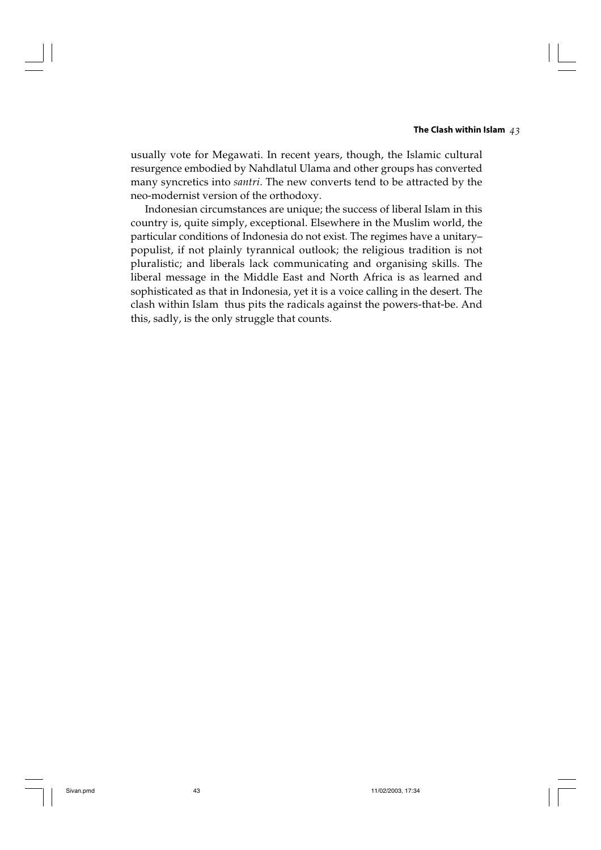usually vote for Megawati. In recent years, though, the Islamic cultural resurgence embodied by Nahdlatul Ulama and other groups has converted many syncretics into *santri*. The new converts tend to be attracted by the neo-modernist version of the orthodoxy.

Indonesian circumstances are unique; the success of liberal Islam in this country is, quite simply, exceptional. Elsewhere in the Muslim world, the particular conditions of Indonesia do not exist. The regimes have a unitary– populist, if not plainly tyrannical outlook; the religious tradition is not pluralistic; and liberals lack communicating and organising skills. The liberal message in the Middle East and North Africa is as learned and sophisticated as that in Indonesia, yet it is a voice calling in the desert. The clash within Islam thus pits the radicals against the powers-that-be. And this, sadly, is the only struggle that counts.